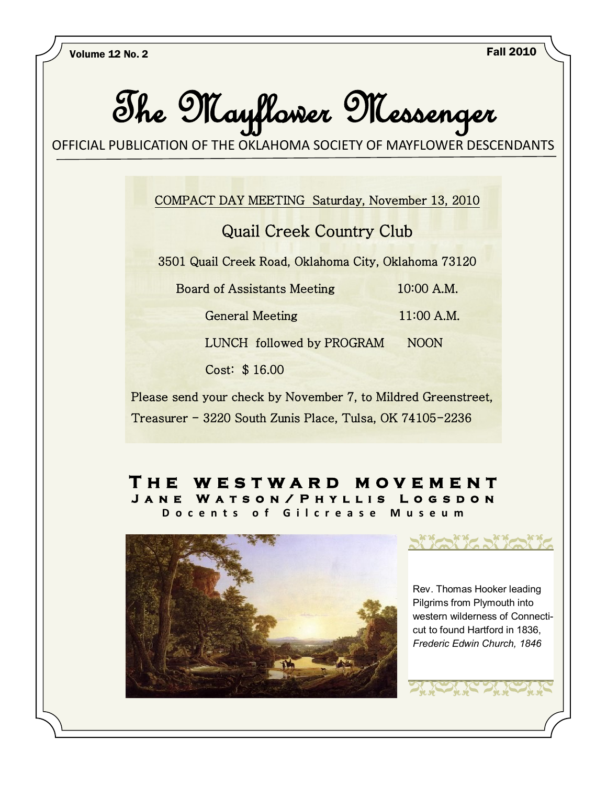

Please send your check by November 7, to Mildred Greenstreet, Treasurer - 3220 South Zunis Place, Tulsa, OK 74105-2236

### **T h e w e s t w a r d m o v e m e n t**  JANE WATSON/PHYLLIS LOGSDON **D o c e n t s o f G i l c r e a s e M u s e u m**



.Rev. Thomas Hooker leading Pilgrims from Plymouth into western wilderness of Connecticut to found Hartford in 1836, *Frederic Edwin Church, 1846*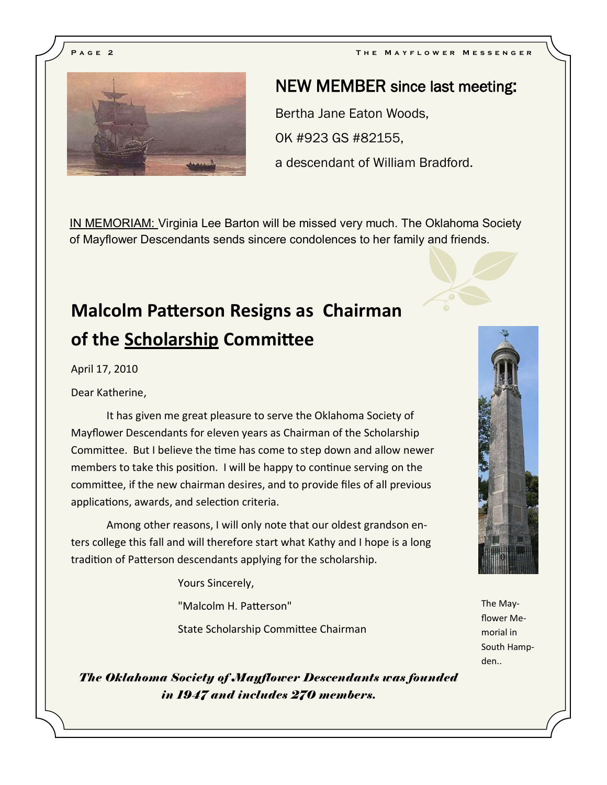

# NEW MEMBER since last meeting:

Bertha Jane Eaton Woods, OK #923 GS #82155, a descendant of William Bradford.

IN MEMORIAM: Virginia Lee Barton will be missed very much. The Oklahoma Society of Mayflower Descendants sends sincere condolences to her family and friends.

# **Malcolm Patterson Resigns as Chairman of the Scholarship Committee**

April 17, 2010

Dear Katherine,

It has given me great pleasure to serve the Oklahoma Society of Mayflower Descendants for eleven years as Chairman of the Scholarship Committee. But I believe the time has come to step down and allow newer members to take this position. I will be happy to continue serving on the committee, if the new chairman desires, and to provide files of all previous applications, awards, and selection criteria.

Among other reasons, I will only note that our oldest grandson enters college this fall and will therefore start what Kathy and I hope is a long tradition of Patterson descendants applying for the scholarship.

Yours Sincerely,

"Malcolm H. Patterson"

State Scholarship Committee Chairman



flower Memorial in South Hampden..

*The Oklahoma Society of Mayflower Descendants was founded in 1947 and includes 270 members.*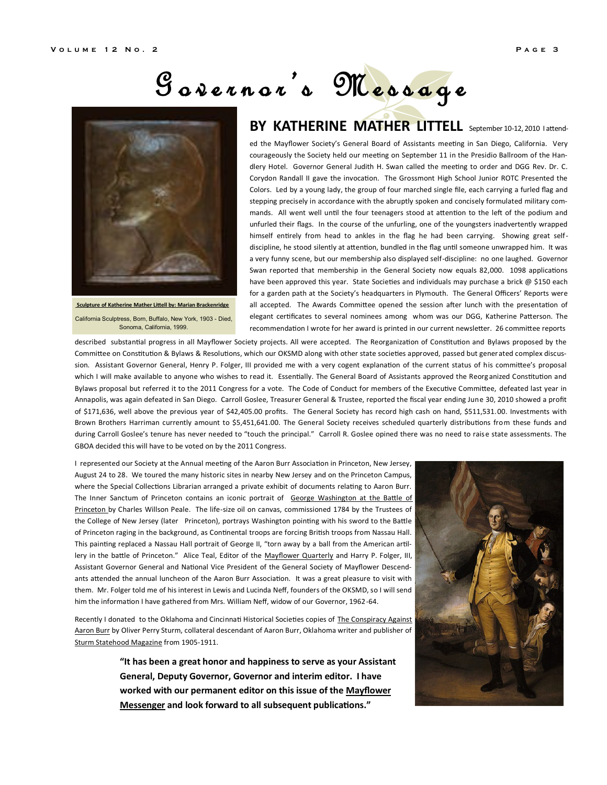# G o v e r n o r 's M e s s a g e



**Sculpture of Katherine Mather Littell by: Marian Brackenridge** California Sculptress, Born, Buffalo, New York, 1903 - Died, Sonoma, California, 1999.

## **BY KATHERINE MATHER LITTELL** September 10-12, 2010 lattend-

ed the Mayflower Society's General Board of Assistants meeting in San Diego, California. Very courageously the Society held our meeting on September 11 in the Presidio Ballroom of the Handlery Hotel. Governor General Judith H. Swan called the meeting to order and DGG Rev. Dr. C. Corydon Randall II gave the invocation. The Grossmont High School Junior ROTC Presented the Colors. Led by a young lady, the group of four marched single file, each carrying a furled flag and stepping precisely in accordance with the abruptly spoken and concisely formulated military commands. All went well until the four teenagers stood at attention to the left of the podium and unfurled their flags. In the course of the unfurling, one of the youngsters inadvertently wrapped himself entirely from head to ankles in the flag he had been carrying. Showing great selfdiscipline, he stood silently at attention, bundled in the flag until someone unwrapped him. It was a very funny scene, but our membership also displayed self-discipline: no one laughed. Governor Swan reported that membership in the General Society now equals 82,000. 1098 applications have been approved this year. State Societies and individuals may purchase a brick  $\omega$  \$150 each for a garden path at the Society's headquarters in Plymouth. The General Officers' Reports were all accepted. The Awards Committee opened the session after lunch with the presentation of elegant certificates to several nominees among whom was our DGG, Katherine Patterson. The recommendation I wrote for her award is printed in our current newsletter. 26 committee reports

described substantial progress in all Mayflower Society projects. All were accepted. The Reorganization of Constitution and Bylaws proposed by the Committee on Constitution & Bylaws & Resolutions, which our OKSMD along with other state societies approved, passed but generated complex discussion. Assistant Governor General, Henry P. Folger, III provided me with a very cogent explanation of the current status of his committee's proposal which I will make available to anyone who wishes to read it. Essentially. The General Board of Assistants approved the Reorg anized Constitution and Bylaws proposal but referred it to the 2011 Congress for a vote. The Code of Conduct for members of the Executive Committee, defeated last year in Annapolis, was again defeated in San Diego. Carroll Goslee, Treasurer General & Trustee, reported the fiscal year ending June 30, 2010 showed a profit of \$171,636, well above the previous year of \$42,405.00 profits. The General Society has record high cash on hand, \$511,531.00. Investments with Brown Brothers Harriman currently amount to \$5,451,641.00. The General Society receives scheduled quarterly distributions from these funds and during Carroll Goslee's tenure has never needed to "touch the principal." Carroll R. Goslee opined there was no need to raise state assessments. The GBOA decided this will have to be voted on by the 2011 Congress.

I represented our Society at the Annual meeting of the Aaron Burr Association in Princeton, New Jersey, August 24 to 28. We toured the many historic sites in nearby New Jersey and on the Princeton Campus, where the Special Collections Librarian arranged a private exhibit of documents relating to Aaron Burr. The Inner Sanctum of Princeton contains an iconic portrait of George Washington at the Battle of Princeton by Charles Willson Peale. The life-size oil on canvas, commissioned 1784 by the Trustees of the College of New Jersey (later Princeton), portrays Washington pointing with his sword to the Battle of Princeton raging in the background, as Continental troops are forcing British troops from Nassau Hall. This painting replaced a Nassau Hall portrait of George II, "torn away by a ball from the American artillery in the battle of Princeton." Alice Teal, Editor of the Mayflower Quarterly and Harry P. Folger, III, Assistant Governor General and National Vice President of the General Society of Mayflower Descendants attended the annual luncheon of the Aaron Burr Association. It was a great pleasure to visit with them. Mr. Folger told me of his interest in Lewis and Lucinda Neff, founders of the OKSMD, so I will send him the information I have gathered from Mrs. William Neff, widow of our Governor, 1962-64.

Recently I donated to the Oklahoma and Cincinnati Historical Societies copies of The Conspiracy Against Aaron Burr by Oliver Perry Sturm, collateral descendant of Aaron Burr, Oklahoma writer and publisher of Sturm Statehood Magazine from 1905-1911.

> **"It has been a great honor and happiness to serve as your Assistant General, Deputy Governor, Governor and interim editor. I have worked with our permanent editor on this issue of the Mayflower Messenger and look forward to all subsequent publications."**